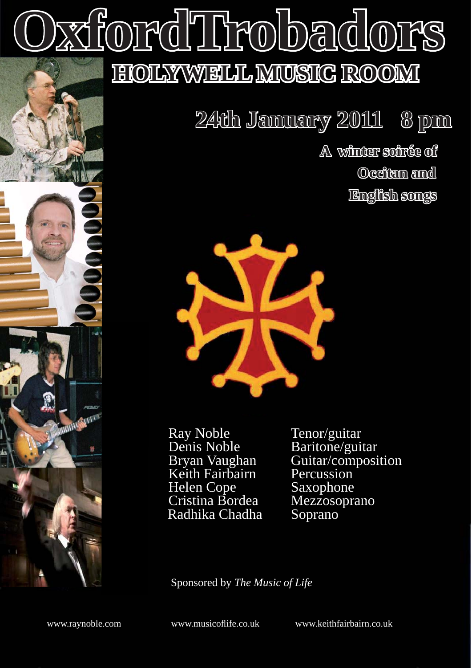# **OxfordTrobadors xfordTrobadors HOLYWELL MUSIC ROOM ROOM**

 **24th January 2011 8 pm pm**

 **A winter soirée of Occitan and English songs songs**



Ray Noble<br>
Denis Noble<br>
Baritone/gui Denis Noble<br>Bryan Vaughan Guitar/composi Keith Fairbairn<br>
Helen Cope Saxophone Helen Cope Saxophone<br>Cristina Bordea Mezzosoprano Cristina Bordea Mezzosc<br>Radhika Chadha Soprano Radhika Chadha

Guitar/composition<br>Percussion

Sponsored by *The Music of Life* 

www.raynoble.com www.musicofl ife.co.uk www.keithfairbairn.co.uk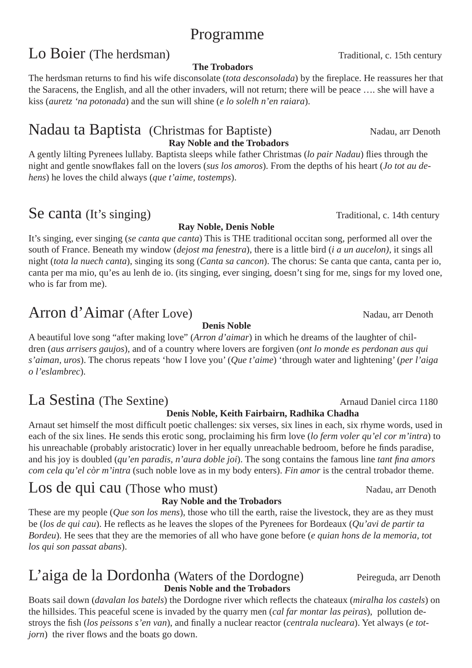# Programme

# Lo Boier (The herdsman) Traditional, c. 15th century

#### **The Trobadors**

The herdsman returns to find his wife disconsolate (*tota desconsolada*) by the fireplace. He reassures her that the Saracens, the English, and all the other invaders, will not return; there will be peace …. she will have a kiss (*auretz 'na potonada*) and the sun will shine (*e lo solelh n'en raiara*).

#### Nadau ta Baptista (Christmas for Baptiste) Nadau, arr Denoth  **Ray Noble and the Trobadors**

A gently lilting Pyrenees lullaby. Baptista sleeps while father Christmas (*lo pair Nadau*) flies through the night and gentle snowflakes fall on the lovers (*sus los amoros*). From the depths of his heart (*Jo tot au dehens*) he loves the child always (*que t'aime, tostemps*).

# Se canta (It's singing) Traditional, c. 14th century

#### **Ray Noble, Denis Noble**

It's singing, ever singing (*se canta que canta*) This is THE traditional occitan song, performed all over the south of France. Beneath my window (*dejost ma fenestra*), there is a little bird (*i a un aucelon)*, it sings all night (*tota la nuech canta*), singing its song (*Canta sa cancon*). The chorus: Se canta que canta, canta per io, canta per ma mio, qu'es au lenh de io. (its singing, ever singing, doesn't sing for me, sings for my loved one, who is far from me).

# Arron d'Aimar (After Love) Nadau, arr Denoth

#### **Denis Noble**

A beautiful love song "after making love" (*Arron d'aimar*) in which he dreams of the laughter of children (*aus arrisers gaujos*), and of a country where lovers are forgiven (*ont lo monde es perdonan aus qui s'aiman, uros*). The chorus repeats 'how I love you' (*Que t'aime*) 'through water and lightening' (*per l'aiga o l'eslambrec*).

# La Sestina (The Sextine) and Daniel circa 1180

#### **Denis Noble, Keith Fairbairn, Radhika Chadha**

Arnaut set himself the most difficult poetic challenges: six verses, six lines in each, six rhyme words, used in each of the six lines. He sends this erotic song, proclaiming his firm love (*lo ferm voler qu'el cor m'intra*) to his unreachable (probably aristocratic) lover in her equally unreachable bedroom, before he finds paradise, and his joy is doubled (*qu'en paradis, n'aura doble joi*). The song contains the famous line *tant fina amors com cela qu'el còr m'intra* (such noble love as in my body enters). *Fin amor* is the central trobador theme.

# Los de qui cau (Those who must) Nadau, arr Denoth

#### **Ray Noble and the Trobadors**

These are my people (*Que son los mens*), those who till the earth, raise the livestock, they are as they must be (*los de qui cau*). He reflects as he leaves the slopes of the Pyrenees for Bordeaux (*Qu'avi de partir ta Bordeu*). He sees that they are the memories of all who have gone before (*e quian hons de la memoria, tot los qui son passat abans*).

#### L'aiga de la Dordonha (Waters of the Dordogne) Peireguda, arr Denoth **Denis Noble and the Trobadors**

Boats sail down (*davalan los batels*) the Dordogne river which reflects the chateaux (*miralha los castels*) on the hillsides. This peaceful scene is invaded by the quarry men (*cal far montar las peiras*), pollution destroys the fish (los peissons s'en van), and finally a nuclear reactor (*centrala nucleara*). Yet always (*e totjorn*) the river flows and the boats go down.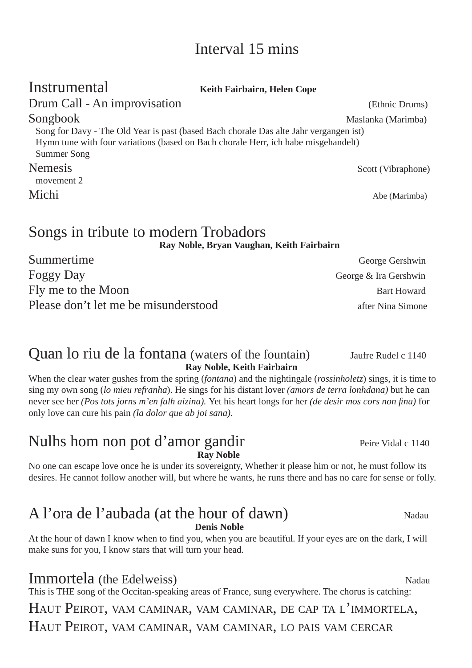# Interval 15 mins

| Instrumental                                                                                                                                                        | Keith Fairbairn, Helen Cope                                                                                                                                                                       |
|---------------------------------------------------------------------------------------------------------------------------------------------------------------------|---------------------------------------------------------------------------------------------------------------------------------------------------------------------------------------------------|
| Drum Call - An improvisation                                                                                                                                        | (Ethnic Drums)                                                                                                                                                                                    |
| Songbook                                                                                                                                                            | Maslanka (Marimba)<br>Song for Davy - The Old Year is past (based Bach chorale Das alte Jahr vergangen ist)<br>Hymn tune with four variations (based on Bach chorale Herr, ich habe misgehandelt) |
| Summer Song<br><b>Nemesis</b><br>movement 2                                                                                                                         | Scott (Vibraphone)                                                                                                                                                                                |
| Michi                                                                                                                                                               | Abe (Marimba)                                                                                                                                                                                     |
| $\bullet$ and $\bullet$ and $\bullet$ and $\bullet$ and $\bullet$ and $\bullet$ and $\bullet$ and $\bullet$ and $\bullet$ and $\bullet$ and $\bullet$ and $\bullet$ |                                                                                                                                                                                                   |

Songs in tribute to modern Trobadors

**Ray Noble, Bryan Vaughan, Keith Fairbairn**

Summertime George Gershwin Foggy Day George & Ira Gershwin Fly me to the Moon Bart Howard Please don't let me be misunderstood after Nina Simone

#### Quan lo riu de la fontana (waters of the fountain) Jaufre Rudel c 1140 **Ray Noble, Keith Fairbairn**

When the clear water gushes from the spring (*fontana*) and the nightingale (*rossinholetz*) sings, it is time to sing my own song (*lo mieu refranha*). He sings for his distant lover *(amors de terra lonhdana)* but he can never see her *(Pos tots jorns m'en falh aizina)*. Yet his heart longs for her *(de desir mos cors non fina)* for only love can cure his pain *(la dolor que ab joi sana)*.

#### Nulhs hom non pot d'amor gandir Peire Vidal c 1140 **Ray Noble**

No one can escape love once he is under its sovereignty, Whether it please him or not, he must follow its desires. He cannot follow another will, but where he wants, he runs there and has no care for sense or folly.

# A l'ora de l'aubada (at the hour of dawn) Nadau

**Denis Noble**

At the hour of dawn I know when to find you, when you are beautiful. If your eyes are on the dark, I will make suns for you, I know stars that will turn your head.

## **Immortela** (the Edelweiss) Nadau

This is THE song of the Occitan-speaking areas of France, sung everywhere. The chorus is catching:

HAUT PEIROT, VAM CAMINAR, VAM CAMINAR, DE CAP TA L'IMMORTELA, HAUT PEIROT, VAM CAMINAR, VAM CAMINAR, LO PAIS VAM CERCAR